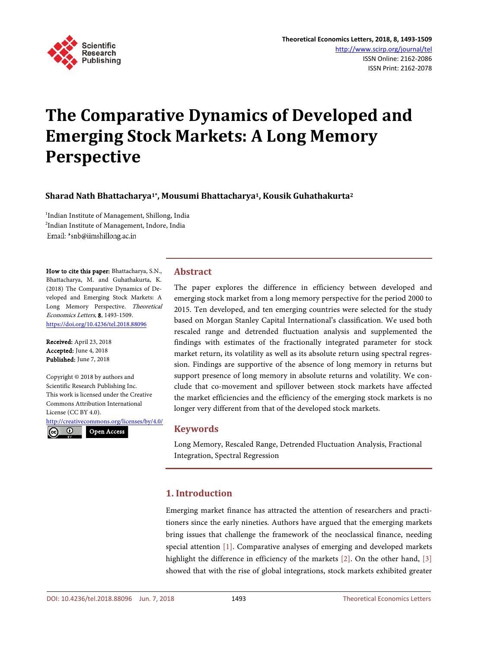

# **The Comparative Dynamics of Developed and Emerging Stock Markets: A Long Memory Perspective**

## **Sharad Nath Bhattacharya1\*, Mousumi Bhattacharya1, Kousik Guhathakurta<sup>2</sup>**

<sup>1</sup>Indian Institute of Management, Shillong, India <sup>2</sup>Indian Institute of Management, Indore, India Email: \*snb@iimshillong.ac.in

How to cite this paper: Bhattacharya, S.N., Bhattacharya, M. and Guhathakurta, K. (2018) The Comparative Dynamics of Developed and Emerging Stock Markets: A Long Memory Perspective. Theoretical Economics Letters, 8, 1493-1509. https://doi.org/10.4236/tel.2018.88096

Received: April 23, 2018 Accepted: June 4, 2018 Published: June 7, 2018

ļ

Copyright © 2018 by authors and Scientific Research Publishing Inc. This work is licensed under the Creative Commons Attribution International License (CC BY 4.0). http://creativecommons.org/licenses/by/4.0/  $\odot$ Open Access

## **Abstract**

The paper explores the difference in efficiency between developed and emerging stock market from a long memory perspective for the period 2000 to 2015. Ten developed, and ten emerging countries were selected for the study based on Morgan Stanley Capital International's classification. We used both rescaled range and detrended fluctuation analysis and supplemented the findings with estimates of the fractionally integrated parameter for stock market return, its volatility as well as its absolute return using spectral regression. Findings are supportive of the absence of long memory in returns but support presence of long memory in absolute returns and volatility. We conclude that co-movement and spillover between stock markets have affected the market efficiencies and the efficiency of the emerging stock markets is no longer very different from that of the developed stock markets.

## **Keywords**

Long Memory, Rescaled Range, Detrended Fluctuation Analysis, Fractional Integration, Spectral Regression

# **1. Introduction**

Emerging market finance has attracted the attention of researchers and practitioners since the early nineties. Authors have argued that the emerging markets bring issues that challenge the framework of the neoclassical finance, needing special attention [1]. Comparative analyses of emerging and developed markets highlight the difference in efficiency of the markets [2]. On the other hand, [3] showed that with the rise of global integrations, stock markets exhibited greater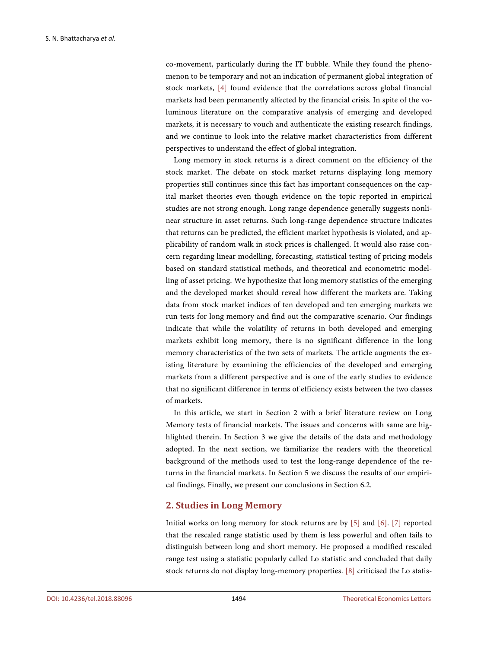co-movement, particularly during the IT bubble. While they found the phenomenon to be temporary and not an indication of permanent global integration of stock markets, [4] found evidence that the correlations across global financial markets had been permanently affected by the financial crisis. In spite of the voluminous literature on the comparative analysis of emerging and developed markets, it is necessary to vouch and authenticate the existing research findings, and we continue to look into the relative market characteristics from different perspectives to understand the effect of global integration.

Long memory in stock returns is a direct comment on the efficiency of the stock market. The debate on stock market returns displaying long memory properties still continues since this fact has important consequences on the capital market theories even though evidence on the topic reported in empirical studies are not strong enough. Long range dependence generally suggests nonlinear structure in asset returns. Such long-range dependence structure indicates that returns can be predicted, the efficient market hypothesis is violated, and applicability of random walk in stock prices is challenged. It would also raise concern regarding linear modelling, forecasting, statistical testing of pricing models based on standard statistical methods, and theoretical and econometric modelling of asset pricing. We hypothesize that long memory statistics of the emerging and the developed market should reveal how different the markets are. Taking data from stock market indices of ten developed and ten emerging markets we run tests for long memory and find out the comparative scenario. Our findings indicate that while the volatility of returns in both developed and emerging markets exhibit long memory, there is no significant difference in the long memory characteristics of the two sets of markets. The article augments the existing literature by examining the efficiencies of the developed and emerging markets from a different perspective and is one of the early studies to evidence that no significant difference in terms of efficiency exists between the two classes of markets.

In this article, we start in Section 2 with a brief literature review on Long Memory tests of financial markets. The issues and concerns with same are highlighted therein. In Section 3 we give the details of the data and methodology adopted. In the next section, we familiarize the readers with the theoretical background of the methods used to test the long-range dependence of the returns in the financial markets. In Section 5 we discuss the results of our empirical findings. Finally, we present our conclusions in Section 6.2.

## **2. Studies in Long Memory**

Initial works on long memory for stock returns are by [5] and [6]. [7] reported that the rescaled range statistic used by them is less powerful and often fails to distinguish between long and short memory. He proposed a modified rescaled range test using a statistic popularly called Lo statistic and concluded that daily stock returns do not display long-memory properties. [8] criticised the Lo statis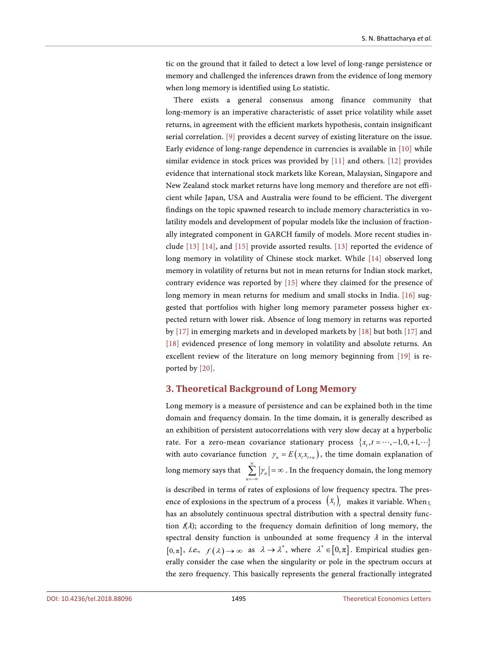tic on the ground that it failed to detect a low level of long-range persistence or memory and challenged the inferences drawn from the evidence of long memory when long memory is identified using Lo statistic.

There exists a general consensus among finance community that long-memory is an imperative characteristic of asset price volatility while asset returns, in agreement with the efficient markets hypothesis, contain insignificant serial correlation. [9] provides a decent survey of existing literature on the issue. Early evidence of long-range dependence in currencies is available in [10] while similar evidence in stock prices was provided by [11] and others. [12] provides evidence that international stock markets like Korean, Malaysian, Singapore and New Zealand stock market returns have long memory and therefore are not efficient while Japan, USA and Australia were found to be efficient. The divergent findings on the topic spawned research to include memory characteristics in volatility models and development of popular models like the inclusion of fractionally integrated component in GARCH family of models. More recent studies include [13] [14], and [15] provide assorted results. [13] reported the evidence of long memory in volatility of Chinese stock market. While [14] observed long memory in volatility of returns but not in mean returns for Indian stock market, contrary evidence was reported by [15] where they claimed for the presence of long memory in mean returns for medium and small stocks in India. [16] suggested that portfolios with higher long memory parameter possess higher expected return with lower risk. Absence of long memory in returns was reported by [17] in emerging markets and in developed markets by [18] but both [17] and [18] evidenced presence of long memory in volatility and absolute returns. An excellent review of the literature on long memory beginning from [19] is reported by [20].

## **3. Theoretical Background of Long Memory**

Long memory is a measure of persistence and can be explained both in the time domain and frequency domain. In the time domain, it is generally described as an exhibition of persistent autocorrelations with very slow decay at a hyperbolic rate. For a zero-mean covariance stationary process  $\{x_t, t = \cdots, -1, 0, +1, \cdots\}$ with auto covariance function  $\gamma_u = E(x_t x_{t+u})$ , the time domain explanation of long memory says that  $\sum_{u=-\infty}^{\infty}$   $|\gamma_u|$ γ ∞  $\sum_{n=-\infty}^{\infty}$   $\left|\gamma_{u}\right|$   $=\infty$  . In the frequency domain, the long memory is described in terms of rates of explosions of low frequency spectra. The presence of explosions in the spectrum of a process  $(x_t)$  makes it variable. When  $x_t$ has an absolutely continuous spectral distribution with a spectral density function  $f(\lambda)$ ; according to the frequency domain definition of long memory, the spectral density function is unbounded at some frequency  $\lambda$  in the interval  $[0,\pi]$ , *i.e.*,  $f(\lambda) \to \infty$  as  $\lambda \to \lambda^*$ , where  $\lambda^* \in [0,\pi]$ . Empirical studies generally consider the case when the singularity or pole in the spectrum occurs at the zero frequency. This basically represents the general fractionally integrated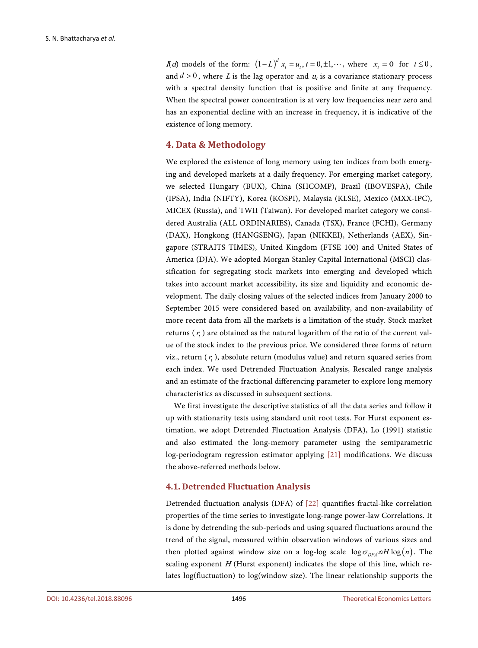I(d) models of the form:  $(1-L)^d x_t = u_t, t = 0, \pm 1, \cdots$ , where  $x_t = 0$  for  $t \le 0$ , and  $d > 0$ , where L is the lag operator and  $u_t$  is a covariance stationary process with a spectral density function that is positive and finite at any frequency. When the spectral power concentration is at very low frequencies near zero and has an exponential decline with an increase in frequency, it is indicative of the existence of long memory.

## **4. Data & Methodology**

We explored the existence of long memory using ten indices from both emerging and developed markets at a daily frequency. For emerging market category, we selected Hungary (BUX), China (SHCOMP), Brazil (IBOVESPA), Chile (IPSA), India (NIFTY), Korea (KOSPI), Malaysia (KLSE), Mexico (MXX-IPC), MICEX (Russia), and TWII (Taiwan). For developed market category we considered Australia (ALL ORDINARIES), Canada (TSX), France (FCHI), Germany (DAX), Hongkong (HANGSENG), Japan (NIKKEI), Netherlands (AEX), Singapore (STRAITS TIMES), United Kingdom (FTSE 100) and United States of America (DJA). We adopted Morgan Stanley Capital International (MSCI) classification for segregating stock markets into emerging and developed which takes into account market accessibility, its size and liquidity and economic development. The daily closing values of the selected indices from January 2000 to September 2015 were considered based on availability, and non-availability of more recent data from all the markets is a limitation of the study. Stock market returns ( *<sup>t</sup> r* ) are obtained as the natural logarithm of the ratio of the current value of the stock index to the previous price. We considered three forms of return viz., return ( *<sup>t</sup> r* ), absolute return (modulus value) and return squared series from each index. We used Detrended Fluctuation Analysis, Rescaled range analysis and an estimate of the fractional differencing parameter to explore long memory characteristics as discussed in subsequent sections.

We first investigate the descriptive statistics of all the data series and follow it up with stationarity tests using standard unit root tests. For Hurst exponent estimation, we adopt Detrended Fluctuation Analysis (DFA), Lo (1991) statistic and also estimated the long-memory parameter using the semiparametric log-periodogram regression estimator applying [21] modifications. We discuss the above-referred methods below.

## **4.1. Detrended Fluctuation Analysis**

Detrended fluctuation analysis (DFA) of [22] quantifies fractal-like correlation properties of the time series to investigate long-range power-law Correlations. It is done by detrending the sub-periods and using squared fluctuations around the trend of the signal, measured within observation windows of various sizes and then plotted against window size on a log-log scale  $\log \sigma_{DEA} \propto H \log(n)$ . The scaling exponent  $H$  (Hurst exponent) indicates the slope of this line, which relates log(fluctuation) to log(window size). The linear relationship supports the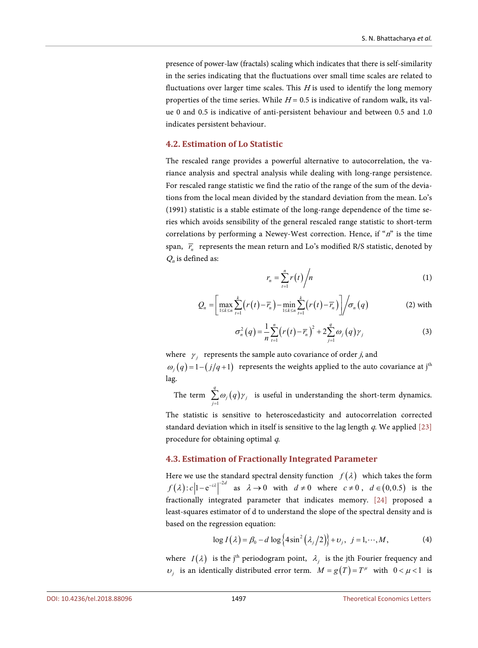presence of power-law (fractals) scaling which indicates that there is self-similarity in the series indicating that the fluctuations over small time scales are related to fluctuations over larger time scales. This  $H$  is used to identify the long memory properties of the time series. While  $H = 0.5$  is indicative of random walk, its value 0 and 0.5 is indicative of anti-persistent behaviour and between 0.5 and 1.0 indicates persistent behaviour.

## **4.2. Estimation of Lo Statistic**

The rescaled range provides a powerful alternative to autocorrelation, the variance analysis and spectral analysis while dealing with long-range persistence. For rescaled range statistic we find the ratio of the range of the sum of the deviations from the local mean divided by the standard deviation from the mean. Lo's (1991) statistic is a stable estimate of the long-range dependence of the time series which avoids sensibility of the general rescaled range statistic to short-term correlations by performing a Newey-West correction. Hence, if "n" is the time span,  $\bar{r}_n$  represents the mean return and Lo's modified R/S statistic, denoted by  $Q_n$  is defined as:

$$
r_n = \sum_{t=1}^n r(t) / n \tag{1}
$$

$$
Q_n = \left[ \max_{1 \le k \le n} \sum_{t=1}^k \left( r(t) - \overline{r_n} \right) - \min_{1 \le k \le n} \sum_{t=1}^k \left( r(t) - \overline{r_n} \right) \right] / \sigma_n(q) \tag{2) with}
$$

$$
\sigma_n^2(q) = \frac{1}{n} \sum_{t=1}^n \left( r(t) - \overline{r}_n \right)^2 + 2 \sum_{j=1}^q \omega_j(q) \gamma_j \tag{3}
$$

where  $\gamma_j$  represents the sample auto covariance of order  $j$ , and  $\omega_i(q) = 1 - (j/q + 1)$  represents the weights applied to the auto covariance at j<sup>th</sup> lag.

The term  $\sum_{j=1}^{n} \omega_j(q)$ *q*  $\sum_{j=1}$ <sup>*w*</sup>j(*4*)/*j*  $\omega_i(q)$   $\gamma$  $\sum_{j=1}^{\infty} \omega_j(q) \gamma_j$  is useful in understanding the short-term dynamics.

The statistic is sensitive to heteroscedasticity and autocorrelation corrected standard deviation which in itself is sensitive to the lag length  $q$ . We applied [23] procedure for obtaining optimal q.

#### **4.3. Estimation of Fractionally Integrated Parameter**

Here we use the standard spectral density function  $f(\lambda)$  which takes the form  $f(\lambda): c\left|1-e^{-i\lambda}\right|^{-2d}$  as  $\lambda \to 0$  with  $d \neq 0$  where  $c \neq 0$ ,  $d \in (0,0.5)$  is the fractionally integrated parameter that indicates memory. [24] proposed a least-squares estimator of d to understand the slope of the spectral density and is based on the regression equation:

$$
\log I(\lambda) = \beta_0 - d \log \left\{ 4 \sin^2 \left( \lambda_j/2 \right) \right\} + \nu_j, \ \ j = 1, \cdots, M, \tag{4}
$$

where  $I(\lambda)$  is the j<sup>th</sup> periodogram point,  $\lambda_j$  is the jth Fourier frequency and  $v_j$  is an identically distributed error term.  $M = g(T) = T^{\mu}$  with  $0 < \mu < 1$  is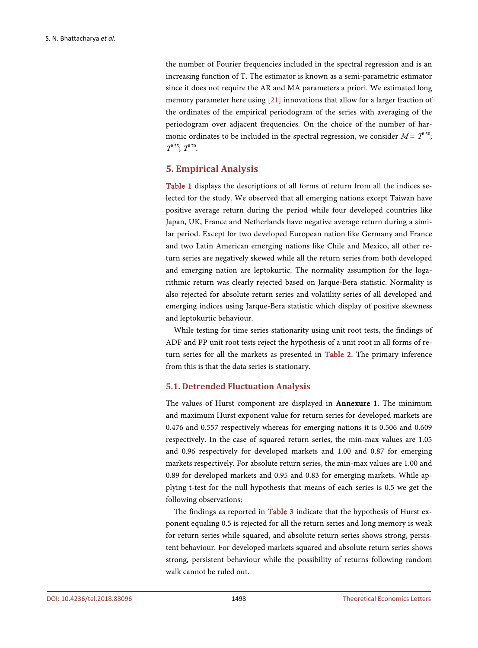the number of Fourier frequencies included in the spectral regression and is an increasing function of T. The estimator is known as a semi-parametric estimator since it does not require the AR and MA parameters a priori. We estimated long memory parameter here using [21] innovations that allow for a larger fraction of the ordinates of the empirical periodogram of the series with averaging of the periodogram over adjacent frequencies. On the choice of the number of harmonic ordinates to be included in the spectral regression, we consider  $M = T^{0.50}$ ;  $T^{0.55}$ ;  $T^{0.70}$ .

## **5. Empirical Analysis**

Table 1 displays the descriptions of all forms of return from all the indices selected for the study. We observed that all emerging nations except Taiwan have positive average return during the period while four developed countries like Japan, UK, France and Netherlands have negative average return during a similar period. Except for two developed European nation like Germany and France and two Latin American emerging nations like Chile and Mexico, all other return series are negatively skewed while all the return series from both developed and emerging nation are leptokurtic. The normality assumption for the logarithmic return was clearly rejected based on Jarque-Bera statistic. Normality is also rejected for absolute return series and volatility series of all developed and emerging indices using Jarque-Bera statistic which display of positive skewness and leptokurtic behaviour.

While testing for time series stationarity using unit root tests, the findings of ADF and PP unit root tests reject the hypothesis of a unit root in all forms of return series for all the markets as presented in Table 2. The primary inference from this is that the data series is stationary.

## **5.1. Detrended Fluctuation Analysis**

The values of Hurst component are displayed in Annexure 1. The minimum and maximum Hurst exponent value for return series for developed markets are 0.476 and 0.557 respectively whereas for emerging nations it is 0.506 and 0.609 respectively. In the case of squared return series, the min-max values are 1.05 and 0.96 respectively for developed markets and 1.00 and 0.87 for emerging markets respectively. For absolute return series, the min-max values are 1.00 and 0.89 for developed markets and 0.95 and 0.83 for emerging markets. While applying t-test for the null hypothesis that means of each series is 0.5 we get the following observations:

The findings as reported in Table 3 indicate that the hypothesis of Hurst exponent equaling 0.5 is rejected for all the return series and long memory is weak for return series while squared, and absolute return series shows strong, persistent behaviour. For developed markets squared and absolute return series shows strong, persistent behaviour while the possibility of returns following random walk cannot be ruled out.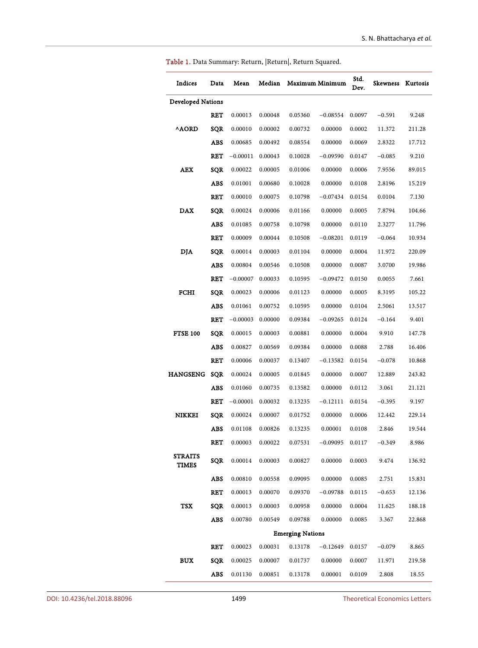| Indices                  | Data       | Mean       | Median  |                         | Maximum Minimum | Std.<br>Dev. | <b>Skewness</b> | Kurtosis |
|--------------------------|------------|------------|---------|-------------------------|-----------------|--------------|-----------------|----------|
| <b>Developed Nations</b> |            |            |         |                         |                 |              |                 |          |
|                          | RET        | 0.00013    | 0.00048 | 0.05360                 | $-0.08554$      | 0.0097       | $-0.591$        | 9.248    |
| <b>AORD</b>              | SQR        | 0.00010    | 0.00002 | 0.00732                 | 0.00000         | 0.0002       | 11.372          | 211.28   |
|                          | ABS        | 0.00685    | 0.00492 | 0.08554                 | 0.00000         | 0.0069       | 2.8322          | 17.712   |
|                          | <b>RET</b> | $-0.00011$ | 0.00043 | 0.10028                 | $-0.09590$      | 0.0147       | $-0.085$        | 9.210    |
| <b>AEX</b>               | SQR        | 0.00022    | 0.00005 | 0.01006                 | 0.00000         | 0.0006       | 7.9556          | 89.015   |
|                          | ABS        | 0.01001    | 0.00680 | 0.10028                 | 0.00000         | 0.0108       | 2.8196          | 15.219   |
|                          | RET        | 0.00010    | 0.00075 | 0.10798                 | $-0.07434$      | 0.0154       | 0.0104          | 7.130    |
| <b>DAX</b>               | SQR        | 0.00024    | 0.00006 | 0.01166                 | 0.00000         | 0.0005       | 7.8794          | 104.66   |
|                          | ABS        | 0.01085    | 0.00758 | 0.10798                 | 0.00000         | 0.0110       | 2.3277          | 11.796   |
|                          | <b>RET</b> | 0.00009    | 0.00044 | 0.10508                 | $-0.08201$      | 0.0119       | $-0.064$        | 10.934   |
| <b>DJA</b>               | SQR        | 0.00014    | 0.00003 | 0.01104                 | 0.00000         | 0.0004       | 11.972          | 220.09   |
|                          | ABS        | 0.00804    | 0.00546 | 0.10508                 | 0.00000         | 0.0087       | 3.0700          | 19.986   |
|                          | <b>RET</b> | $-0.00007$ | 0.00033 | 0.10595                 | $-0.09472$      | 0.0150       | 0.0055          | 7.661    |
| FCHI                     | SQR        | 0.00023    | 0.00006 | 0.01123                 | 0.00000         | 0.0005       | 8.3195          | 105.22   |
|                          | ABS        | 0.01061    | 0.00752 | 0.10595                 | 0.00000         | 0.0104       | 2.5061          | 13.517   |
|                          | RET        | $-0.00003$ | 0.00000 | 0.09384                 | $-0.09265$      | 0.0124       | $-0.164$        | 9.401    |
| <b>FTSE 100</b>          | SQR        | 0.00015    | 0.00003 | 0.00881                 | 0.00000         | 0.0004       | 9.910           | 147.78   |
|                          | ABS        | 0.00827    | 0.00569 | 0.09384                 | 0.00000         | 0.0088       | 2.788           | 16.406   |
|                          | RET        | 0.00006    | 0.00037 | 0.13407                 | $-0.13582$      | 0.0154       | $-0.078$        | 10.868   |
| <b>HANGSENG</b>          | SQR        | 0.00024    | 0.00005 | 0.01845                 | 0.00000         | 0.0007       | 12.889          | 243.82   |
|                          | ABS        | 0.01060    | 0.00735 | 0.13582                 | 0.00000         | 0.0112       | 3.061           | 21.121   |
|                          | <b>RET</b> | $-0.00001$ | 0.00032 | 0.13235                 | $-0.12111$      | 0.0154       | $-0.395$        | 9.197    |
| <b>NIKKEI</b>            | SQR        | 0.00024    | 0.00007 | 0.01752                 | 0.00000         | 0.0006       | 12.442          | 229.14   |
|                          | ABS        | 0.01108    | 0.00826 | 0.13235                 | 0.00001         | 0.0108       | 2.846           | 19.544   |
|                          | RET        | 0.00003    | 0.00022 | 0.07531                 | $-0.09095$      | 0.0117       | $-0.349$        | 8.986    |
| STRAITS<br><b>TIMES</b>  | SQR        | 0.00014    | 0.00003 | 0.00827                 | 0.00000         | 0.0003       | 9.474           | 136.92   |
|                          | <b>ABS</b> | 0.00810    | 0.00558 | 0.09095                 | 0.00000         | 0.0085       | 2.751           | 15.831   |
|                          | <b>RET</b> | 0.00013    | 0.00070 | 0.09370                 | $-0.09788$      | 0.0115       | $-0.653$        | 12.136   |
| <b>TSX</b>               | SQR        | 0.00013    | 0.00003 | 0.00958                 | 0.00000         | 0.0004       | 11.625          | 188.18   |
|                          | <b>ABS</b> | 0.00780    | 0.00549 | 0.09788                 | 0.00000         | 0.0085       | 3.367           | 22.868   |
|                          |            |            |         | <b>Emerging Nations</b> |                 |              |                 |          |
|                          | <b>RET</b> | 0.00023    | 0.00031 | 0.13178                 | $-0.12649$      | 0.0157       | $-0.079$        | 8.865    |
| <b>BUX</b>               | SQR        | 0.00025    | 0.00007 | 0.01737                 | 0.00000         | 0.0007       | 11.971          | 219.58   |
|                          | ABS        | 0.01130    | 0.00851 | 0.13178                 | 0.00001         | 0.0109       | 2.808           | 18.55    |

Table 1. Data Summary: Return, |Return|, Return Squared.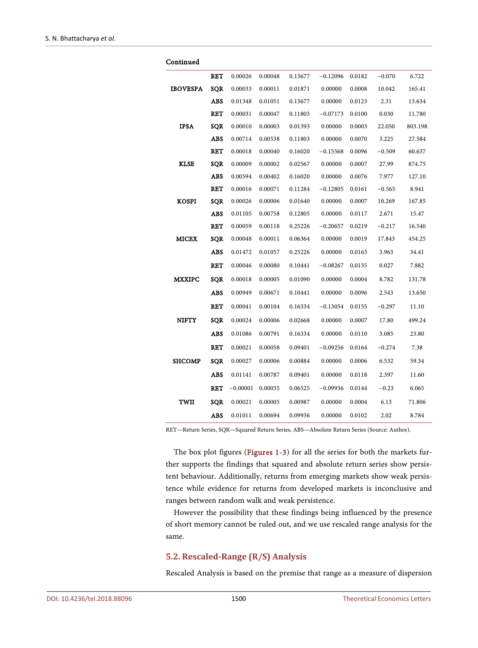| Continued       |            |            |         |         |            |        |          |         |
|-----------------|------------|------------|---------|---------|------------|--------|----------|---------|
|                 | <b>RET</b> | 0.00026    | 0.00048 | 0.13677 | $-0.12096$ | 0.0182 | $-0.070$ | 6.722   |
| <b>IBOVESPA</b> | SQR        | 0.00033    | 0.00011 | 0.01871 | 0.00000    | 0.0008 | 10.042   | 165.41  |
|                 | ABS        | 0.01348    | 0.01051 | 0.13677 | 0.00000    | 0.0123 | 2.31     | 13.634  |
|                 | <b>RET</b> | 0.00031    | 0.00047 | 0.11803 | $-0.07173$ | 0.0100 | 0.030    | 11.780  |
| <b>IPSA</b>     | SQR        | 0.00010    | 0.00003 | 0.01393 | 0.00000    | 0.0003 | 22.050   | 803.198 |
|                 | <b>ABS</b> | 0.00714    | 0.00538 | 0.11803 | 0.00000    | 0.0070 | 3.225    | 27.584  |
|                 | <b>RET</b> | 0.00018    | 0.00040 | 0.16020 | $-0.15568$ | 0.0096 | $-0.509$ | 60.637  |
| <b>KLSE</b>     | SQR        | 0.00009    | 0.00002 | 0.02567 | 0.00000    | 0.0007 | 27.99    | 874.75  |
|                 | ABS        | 0.00594    | 0.00402 | 0.16020 | 0.00000    | 0.0076 | 7.977    | 127.10  |
|                 | RET        | 0.00016    | 0.00071 | 0.11284 | $-0.12805$ | 0.0161 | $-0.565$ | 8.941   |
| <b>KOSPI</b>    | SQR        | 0.00026    | 0.00006 | 0.01640 | 0.00000    | 0.0007 | 10.269   | 167.85  |
|                 | ABS        | 0.01105    | 0.00758 | 0.12805 | 0.00000    | 0.0117 | 2.671    | 15.47   |
|                 | <b>RET</b> | 0.00059    | 0.00118 | 0.25226 | $-0.20657$ | 0.0219 | $-0.217$ | 16.540  |
| <b>MICEX</b>    | SQR        | 0.00048    | 0.00011 | 0.06364 | 0.00000    | 0.0019 | 17.843   | 454.25  |
|                 | ABS        | 0.01472    | 0.01057 | 0.25226 | 0.00000    | 0.0163 | 3.963    | 34.41   |
|                 | <b>RET</b> | 0.00046    | 0.00080 | 0.10441 | $-0.08267$ | 0.0135 | 0.027    | 7.882   |
| <b>MXXIPC</b>   | SQR        | 0.00018    | 0.00005 | 0.01090 | 0.00000    | 0.0004 | 8.782    | 131.78  |
|                 | ABS        | 0.00949    | 0.00671 | 0.10441 | 0.00000    | 0.0096 | 2.543    | 13.650  |
|                 | RET        | 0.00041    | 0.00104 | 0.16334 | $-0.13054$ | 0.0155 | $-0.297$ | 11.10   |
| NIFTY           | SQR        | 0.00024    | 0.00006 | 0.02668 | 0.00000    | 0.0007 | 17.80    | 499.24  |
|                 | ABS        | 0.01086    | 0.00791 | 0.16334 | 0.00000    | 0.0110 | 3.085    | 23.80   |
|                 | RET        | 0.00021    | 0.00058 | 0.09401 | $-0.09256$ | 0.0164 | $-0.274$ | 7.38    |
| <b>SHCOMP</b>   | SQR        | 0.00027    | 0.00006 | 0.00884 | 0.00000    | 0.0006 | 6.532    | 59.34   |
|                 | ABS        | 0.01141    | 0.00787 | 0.09401 | 0.00000    | 0.0118 | 2.397    | 11.60   |
|                 | RET        | $-0.00001$ | 0.00035 | 0.06525 | $-0.09936$ | 0.0144 | $-0.23$  | 6.065   |
| TWII            | SQR        | 0.00021    | 0.00005 | 0.00987 | 0.00000    | 0.0004 | 6.13     | 71.806  |
|                 | <b>ABS</b> | 0.01011    | 0.00694 | 0.09936 | 0.00000    | 0.0102 | 2.02     | 8.784   |

RET—Return Series, SQR—Squared Return Series, ABS—Absolute Return Series (Source: Author).

The box plot figures (Figures 1-3) for all the series for both the markets further supports the findings that squared and absolute return series show persistent behaviour. Additionally, returns from emerging markets show weak persistence while evidence for returns from developed markets is inconclusive and ranges between random walk and weak persistence.

However the possibility that these findings being influenced by the presence of short memory cannot be ruled out, and we use rescaled range analysis for the same.

#### **5.2. Rescaled-Range (R/S) Analysis**

Rescaled Analysis is based on the premise that range as a measure of dispersion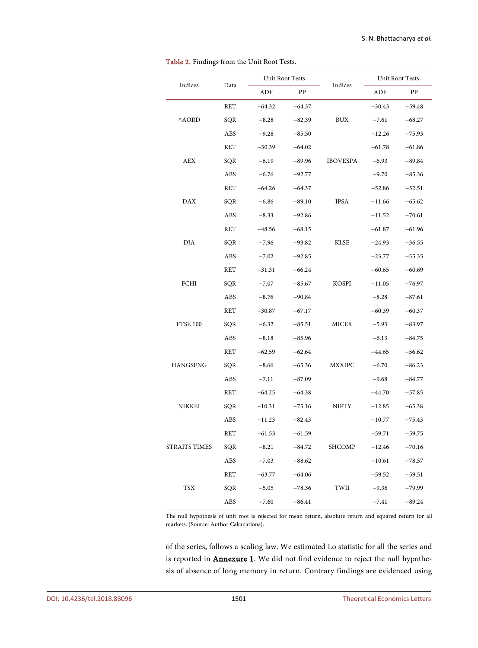| Indices              | Data       | Unit Root Tests |          | Indices         | Unit Root Tests |          |  |
|----------------------|------------|-----------------|----------|-----------------|-----------------|----------|--|
|                      |            | ${\rm ADF}$     | PP       |                 | ADF             | PP       |  |
|                      | RET        | $-64.32$        | $-64.37$ |                 | $-30.43$        | $-59.48$ |  |
| <b>AORD</b>          | SQR        | $-8.28$         | $-82.39$ | BUX             | $-7.61$         | $-68.27$ |  |
|                      | ABS        | $-9.28$         | $-85.50$ |                 | $-12.26$        | $-75.93$ |  |
|                      | RET        | $-30.39$        | $-64.02$ |                 | $-61.78$        | $-61.86$ |  |
| AEX                  | SQR        | $-6.19$         | $-89.96$ | <b>IBOVESPA</b> | $-6.93$         | $-89.84$ |  |
|                      | ABS        | $-6.76$         | $-92.77$ |                 | $-9.70$         | $-85.36$ |  |
|                      | RET        | $-64.26$        | $-64.37$ |                 | $-52.86$        | $-52.51$ |  |
| DAX                  | SQR        | $-6.86$         | $-89.10$ | <b>IPSA</b>     | $-11.66$        | $-65.62$ |  |
|                      | ABS        | $-8.33$         | $-92.86$ |                 | $-11.52$        | $-70.61$ |  |
| DJA                  | RET        | $-48.56$        | $-68.15$ | <b>KLSE</b>     | $-61.87$        | $-61.96$ |  |
|                      | SQR        | $-7.96$         | $-93.82$ |                 | $-24.93$        | $-36.55$ |  |
|                      | ABS        | $-7.02$         | $-92.85$ |                 | $-23.77$        | $-55.35$ |  |
|                      | RET        | $-31.31$        | $-66.24$ | KOSPI           | $-60.65$        | $-60.69$ |  |
| FCHI                 | SQR        | $-7.07$         | $-85.67$ |                 | $-11.05$        | $-76.97$ |  |
|                      | ABS        | $-8.76$         | $-90.84$ |                 | $-8.28$         | $-87.61$ |  |
|                      | RET        | $-30.87$        | $-67.17$ | <b>MICEX</b>    | $-60.39$        | $-60.37$ |  |
| <b>FTSE 100</b>      | SQR        | $-6.32$         | $-85.51$ |                 | $-5.93$         | $-83.97$ |  |
|                      | ABS        | $-8.18$         | $-85.96$ |                 | $-6.13$         | $-84.75$ |  |
|                      | RET        | $-62.59$        | $-62.64$ |                 | -44.65          | $-56.62$ |  |
| <b>HANGSENG</b>      | SQR        | $-8.66$         | $-65.36$ | <b>MXXIPC</b>   | $-6.70$         | $-86.23$ |  |
|                      | ABS        | $-7.11$         | $-87.09$ |                 | $-9.68$         | $-84.77$ |  |
|                      | RET        | $-64.25$        | $-64.38$ |                 | $-44.70$        | $-57.85$ |  |
| NIKKEI               | SQR        | $-10.31$        | $-75.16$ | NIFTY           | $-12.85$        | $-65.38$ |  |
|                      | ABS        | $-11.23$        | $-82.43$ |                 | $-10.77$        | $-75.43$ |  |
|                      | <b>RET</b> | $-61.53$        | $-61.59$ |                 | $-59.71$        | $-59.75$ |  |
| <b>STRAITS TIMES</b> | SQR        | $-8.21$         | $-84.72$ | <b>SHCOMP</b>   | $-12.46$        | $-70.16$ |  |
|                      | ABS        | $-7.03$         | $-88.62$ |                 | $-10.61$        | $-78.57$ |  |
|                      | RET        | $-63.77$        | $-64.06$ |                 | $-59.52$        | $-59.51$ |  |
| <b>TSX</b>           | SQR        | $-5.05$         | $-78.36$ | TWII            | $-9.36$         | $-79.99$ |  |
|                      | ABS        | $-7.60$         | $-86.41$ |                 | $-7.41$         | $-89.24$ |  |

Table 2. Findings from the Unit Root Tests.

The null hypothesis of unit root is rejected for mean return, absolute return and squared return for all markets. (Source: Author Calculations).

of the series, follows a scaling law. We estimated Lo statistic for all the series and is reported in Annexure 1. We did not find evidence to reject the null hypothesis of absence of long memory in return. Contrary findings are evidenced using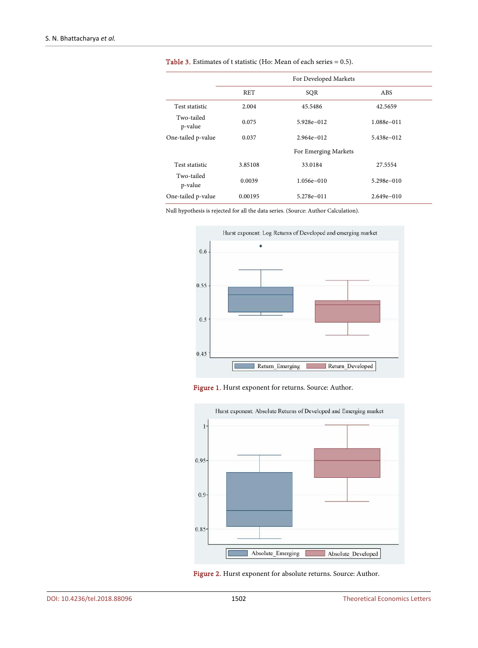|                       | For Developed Markets |                      |                |  |  |  |
|-----------------------|-----------------------|----------------------|----------------|--|--|--|
|                       | <b>RET</b>            | SOR                  | ABS.           |  |  |  |
| Test statistic        | 2.004                 | 45.5486              | 42.5659        |  |  |  |
| Two-tailed<br>p-value | 0.075                 | 5.928e-012           | 1.088e-011     |  |  |  |
| One-tailed p-value    | 0.037                 | $2.964e - 012$       | 5.438e-012     |  |  |  |
|                       |                       | For Emerging Markets |                |  |  |  |
| Test statistic        | 3.85108               | 33.0184              | 27.5554        |  |  |  |
| Two-tailed<br>p-value | 0.0039                | $1.056e - 010$       | $5.298e - 010$ |  |  |  |
| One-tailed p-value    | 0.00195               | 5.278e-011           | $2.649e - 010$ |  |  |  |

Table 3. Estimates of t statistic (Ho: Mean of each series = 0.5).

Null hypothesis is rejected for all the data series. (Source: Author Calculation).



Figure 1. Hurst exponent for returns. Source: Author.



Figure 2. Hurst exponent for absolute returns. Source: Author.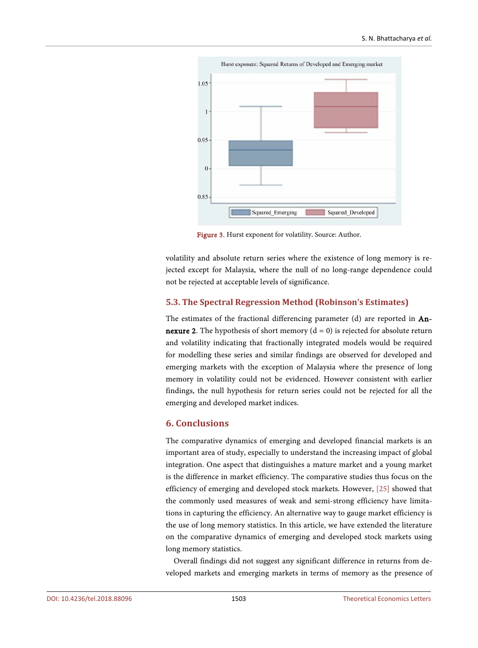

Figure 3. Hurst exponent for volatility. Source: Author.

volatility and absolute return series where the existence of long memory is rejected except for Malaysia, where the null of no long-range dependence could not be rejected at acceptable levels of significance.

#### **5.3. The Spectral Regression Method (Robinson's Estimates)**

The estimates of the fractional differencing parameter (d) are reported in An**nexure 2.** The hypothesis of short memory  $(d = 0)$  is rejected for absolute return and volatility indicating that fractionally integrated models would be required for modelling these series and similar findings are observed for developed and emerging markets with the exception of Malaysia where the presence of long memory in volatility could not be evidenced. However consistent with earlier findings, the null hypothesis for return series could not be rejected for all the emerging and developed market indices.

## **6. Conclusions**

The comparative dynamics of emerging and developed financial markets is an important area of study, especially to understand the increasing impact of global integration. One aspect that distinguishes a mature market and a young market is the difference in market efficiency. The comparative studies thus focus on the efficiency of emerging and developed stock markets. However, [25] showed that the commonly used measures of weak and semi-strong efficiency have limitations in capturing the efficiency. An alternative way to gauge market efficiency is the use of long memory statistics. In this article, we have extended the literature on the comparative dynamics of emerging and developed stock markets using long memory statistics.

Overall findings did not suggest any significant difference in returns from developed markets and emerging markets in terms of memory as the presence of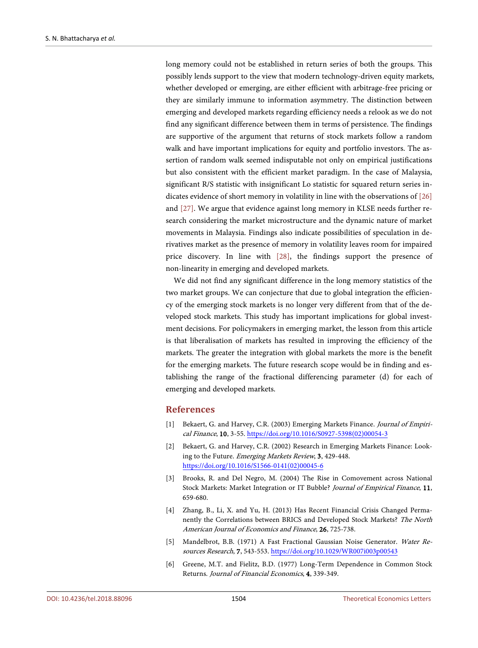long memory could not be established in return series of both the groups. This possibly lends support to the view that modern technology-driven equity markets, whether developed or emerging, are either efficient with arbitrage-free pricing or they are similarly immune to information asymmetry. The distinction between emerging and developed markets regarding efficiency needs a relook as we do not find any significant difference between them in terms of persistence. The findings are supportive of the argument that returns of stock markets follow a random walk and have important implications for equity and portfolio investors. The assertion of random walk seemed indisputable not only on empirical justifications but also consistent with the efficient market paradigm. In the case of Malaysia, significant R/S statistic with insignificant Lo statistic for squared return series indicates evidence of short memory in volatility in line with the observations of [26] and [27]. We argue that evidence against long memory in KLSE needs further research considering the market microstructure and the dynamic nature of market movements in Malaysia. Findings also indicate possibilities of speculation in derivatives market as the presence of memory in volatility leaves room for impaired price discovery. In line with [28], the findings support the presence of non-linearity in emerging and developed markets.

We did not find any significant difference in the long memory statistics of the two market groups. We can conjecture that due to global integration the efficiency of the emerging stock markets is no longer very different from that of the developed stock markets. This study has important implications for global investment decisions. For policymakers in emerging market, the lesson from this article is that liberalisation of markets has resulted in improving the efficiency of the markets. The greater the integration with global markets the more is the benefit for the emerging markets. The future research scope would be in finding and establishing the range of the fractional differencing parameter (d) for each of emerging and developed markets.

#### **References**

- [1] Bekaert, G. and Harvey, C.R. (2003) Emerging Markets Finance. Journal of Empirical Finance, 10, 3-55. https://doi.org/10.1016/S0927-5398(02)00054-3
- [2] Bekaert, G. and Harvey, C.R. (2002) Research in Emerging Markets Finance: Looking to the Future. Emerging Markets Review, 3, 429-448. https://doi.org/10.1016/S1566-0141(02)00045-6
- [3] Brooks, R. and Del Negro, M. (2004) The Rise in Comovement across National Stock Markets: Market Integration or IT Bubble? Journal of Empirical Finance, 11, 659-680.
- [4] Zhang, B., Li, X. and Yu, H. (2013) Has Recent Financial Crisis Changed Permanently the Correlations between BRICS and Developed Stock Markets? The North American Journal of Economics and Finance, 26, 725-738.
- [5] Mandelbrot, B.B. (1971) A Fast Fractional Gaussian Noise Generator. Water Resources Research, 7, 543-553. https://doi.org/10.1029/WR007i003p00543
- [6] Greene, M.T. and Fielitz, B.D. (1977) Long-Term Dependence in Common Stock Returns. Journal of Financial Economics, 4, 339-349.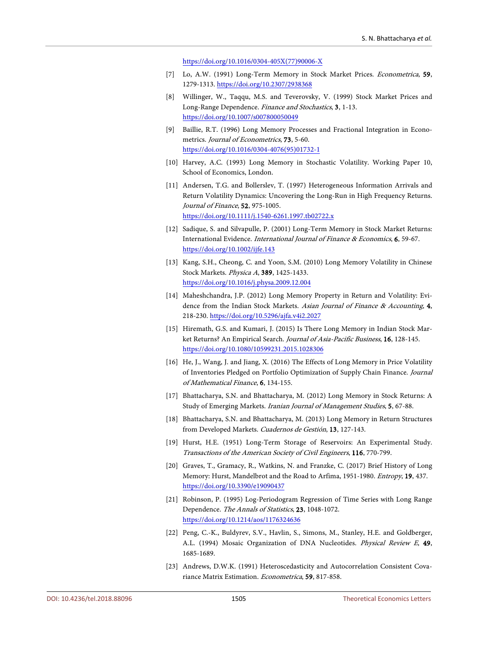https://doi.org/10.1016/0304-405X(77)90006-X

- [7] Lo, A.W. (1991) Long-Term Memory in Stock Market Prices. Econometrica, 59, 1279-1313. https://doi.org/10.2307/2938368
- [8] Willinger, W., Taqqu, M.S. and Teverovsky, V. (1999) Stock Market Prices and Long-Range Dependence. Finance and Stochastics, 3, 1-13. https://doi.org/10.1007/s007800050049
- [9] Baillie, R.T. (1996) Long Memory Processes and Fractional Integration in Econometrics. Journal of Econometrics, 73, 5-60. https://doi.org/10.1016/0304-4076(95)01732-1
- [10] Harvey, A.C. (1993) Long Memory in Stochastic Volatility. Working Paper 10, School of Economics, London.
- [11] Andersen, T.G. and Bollerslev, T. (1997) Heterogeneous Information Arrivals and Return Volatility Dynamics: Uncovering the Long-Run in High Frequency Returns. Journal of Finance, 52, 975-1005. https://doi.org/10.1111/j.1540-6261.1997.tb02722.x
- [12] Sadique, S. and Silvapulle, P. (2001) Long-Term Memory in Stock Market Returns: International Evidence. International Journal of Finance & Economics, 6, 59-67. https://doi.org/10.1002/ijfe.143
- [13] Kang, S.H., Cheong, C. and Yoon, S.M. (2010) Long Memory Volatility in Chinese Stock Markets. Physica A, 389, 1425-1433. https://doi.org/10.1016/j.physa.2009.12.004
- [14] Maheshchandra, J.P. (2012) Long Memory Property in Return and Volatility: Evidence from the Indian Stock Markets. Asian Journal of Finance & Accounting, 4, 218-230. https://doi.org/10.5296/ajfa.v4i2.2027
- [15] Hiremath, G.S. and Kumari, J. (2015) Is There Long Memory in Indian Stock Market Returns? An Empirical Search. Journal of Asia-Pacific Business, 16, 128-145. https://doi.org/10.1080/10599231.2015.1028306
- [16] He, J., Wang, J. and Jiang, X. (2016) The Effects of Long Memory in Price Volatility of Inventories Pledged on Portfolio Optimization of Supply Chain Finance. Journal of Mathematical Finance, 6, 134-155.
- [17] Bhattacharya, S.N. and Bhattacharya, M. (2012) Long Memory in Stock Returns: A Study of Emerging Markets. Iranian Journal of Management Studies, 5, 67-88.
- [18] Bhattacharya, S.N. and Bhattacharya, M. (2013) Long Memory in Return Structures from Developed Markets. Cuadernos de Gestión, 13, 127-143.
- [19] Hurst, H.E. (1951) Long-Term Storage of Reservoirs: An Experimental Study. Transactions of the American Society of Civil Engineers, 116, 770-799.
- [20] Graves, T., Gramacy, R., Watkins, N. and Franzke, C. (2017) Brief History of Long Memory: Hurst, Mandelbrot and the Road to Arfima, 1951-1980. Entropy, 19, 437. https://doi.org/10.3390/e19090437
- [21] Robinson, P. (1995) Log-Periodogram Regression of Time Series with Long Range Dependence. The Annals of Statistics, 23, 1048-1072. https://doi.org/10.1214/aos/1176324636
- [22] Peng, C.-K., Buldyrev, S.V., Havlin, S., Simons, M., Stanley, H.E. and Goldberger, A.L. (1994) Mosaic Organization of DNA Nucleotides. Physical Review E, 49, 1685-1689.
- [23] Andrews, D.W.K. (1991) Heteroscedasticity and Autocorrelation Consistent Covariance Matrix Estimation. Econometrica, 59, 817-858.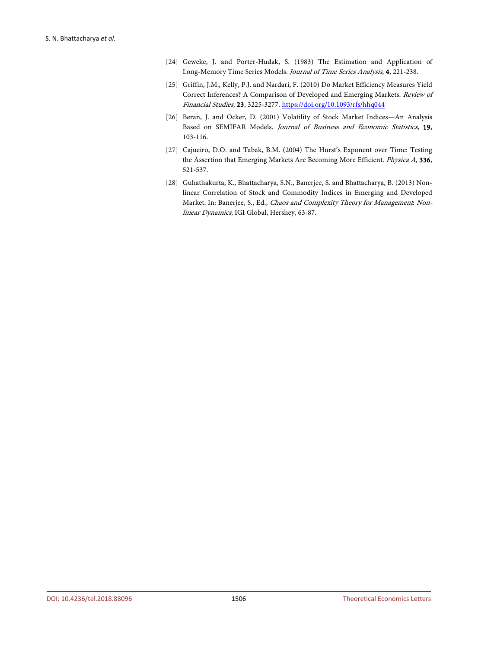- [24] Geweke, J. and Porter-Hudak, S. (1983) The Estimation and Application of Long-Memory Time Series Models. Journal of Time Series Analysis, 4, 221-238.
- [25] Griffin, J.M., Kelly, P.J. and Nardari, F. (2010) Do Market Efficiency Measures Yield Correct Inferences? A Comparison of Developed and Emerging Markets. Review of Financial Studies, 23, 3225-3277. https://doi.org/10.1093/rfs/hhq044
- [26] Beran, J. and Ocker, D. (2001) Volatility of Stock Market Indices—An Analysis Based on SEMIFAR Models. Journal of Business and Economic Statistics, 19, 103-116.
- [27] Cajueiro, D.O. and Tabak, B.M. (2004) The Hurst's Exponent over Time: Testing the Assertion that Emerging Markets Are Becoming More Efficient. Physica A, 336, 521-537.
- [28] Guhathakurta, K., Bhattacharya, S.N., Banerjee, S. and Bhattacharya, B. (2013) Nonlinear Correlation of Stock and Commodity Indices in Emerging and Developed Market. In: Banerjee, S., Ed., Chaos and Complexity Theory for Management: Nonlinear Dynamics, IGI Global, Hershey, 63-87.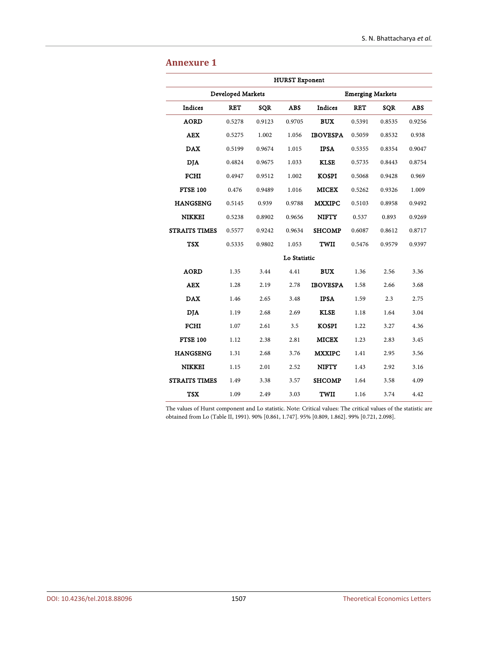| <b>HURST Exponent</b> |                         |        |              |                 |            |        |            |  |
|-----------------------|-------------------------|--------|--------------|-----------------|------------|--------|------------|--|
| Developed Markets     | <b>Emerging Markets</b> |        |              |                 |            |        |            |  |
| <b>Indices</b>        | <b>RET</b>              | SQR    | <b>ABS</b>   | <b>Indices</b>  | <b>RET</b> | SQR    | <b>ABS</b> |  |
| <b>AORD</b>           | 0.5278                  | 0.9123 | 0.9705       | <b>BUX</b>      | 0.5391     | 0.8535 | 0.9256     |  |
| <b>AEX</b>            | 0.5275                  | 1.002  | 1.056        | <b>IBOVESPA</b> | 0.5059     | 0.8532 | 0.938      |  |
| <b>DAX</b>            | 0.5199                  | 0.9674 | 1.015        | <b>IPSA</b>     | 0.5355     | 0.8354 | 0.9047     |  |
| <b>DJA</b>            | 0.4824                  | 0.9675 | 1.033        | <b>KLSE</b>     | 0.5735     | 0.8443 | 0.8754     |  |
| FCHI                  | 0.4947                  | 0.9512 | 1.002        | <b>KOSPI</b>    | 0.5068     | 0.9428 | 0.969      |  |
| <b>FTSE 100</b>       | 0.476                   | 0.9489 | 1.016        | <b>MICEX</b>    | 0.5262     | 0.9326 | 1.009      |  |
| <b>HANGSENG</b>       | 0.5145                  | 0.939  | 0.9788       | <b>MXXIPC</b>   | 0.5103     | 0.8958 | 0.9492     |  |
| <b>NIKKEI</b>         | 0.5238                  | 0.8902 | 0.9656       | <b>NIFTY</b>    | 0.537      | 0.893  | 0.9269     |  |
| <b>STRAITS TIMES</b>  | 0.5577                  | 0.9242 | 0.9634       | <b>SHCOMP</b>   | 0.6087     | 0.8612 | 0.8717     |  |
| <b>TSX</b>            | 0.5335                  | 0.9802 | 1.053        | TWII            | 0.5476     | 0.9579 | 0.9397     |  |
|                       |                         |        | Lo Statistic |                 |            |        |            |  |
| <b>AORD</b>           | 1.35                    | 3.44   | 4.41         | <b>BUX</b>      | 1.36       | 2.56   | 3.36       |  |
| <b>AEX</b>            | 1.28                    | 2.19   | 2.78         | <b>IBOVESPA</b> | 1.58       | 2.66   | 3.68       |  |
| <b>DAX</b>            | 1.46                    | 2.65   | 3.48         | <b>IPSA</b>     | 1.59       | 2.3    | 2.75       |  |
| <b>DJA</b>            | 1.19                    | 2.68   | 2.69         | <b>KLSE</b>     | 1.18       | 1.64   | 3.04       |  |
| <b>FCHI</b>           | 1.07                    | 2.61   | 3.5          | <b>KOSPI</b>    | 1.22       | 3.27   | 4.36       |  |
| <b>FTSE 100</b>       | 1.12                    | 2.38   | 2.81         | <b>MICEX</b>    | 1.23       | 2.83   | 3.45       |  |
| <b>HANGSENG</b>       | 1.31                    | 2.68   | 3.76         | <b>MXXIPC</b>   | 1.41       | 2.95   | 3.56       |  |
| <b>NIKKEI</b>         | 1.15                    | 2.01   | 2.52         | <b>NIFTY</b>    | 1.43       | 2.92   | 3.16       |  |
| <b>STRAITS TIMES</b>  | 1.49                    | 3.38   | 3.57         | <b>SHCOMP</b>   | 1.64       | 3.58   | 4.09       |  |
| <b>TSX</b>            | 1.09                    | 2.49   | 3.03         | TWII            | 1.16       | 3.74   | 4.42       |  |

# **Annexure 1**

The values of Hurst component and Lo statistic. Note: Critical values: The critical values of the statistic are obtained from Lo (Table II, 1991). 90% [0.861, 1.747]. 95% [0.809, 1.862]. 99% [0.721, 2.098].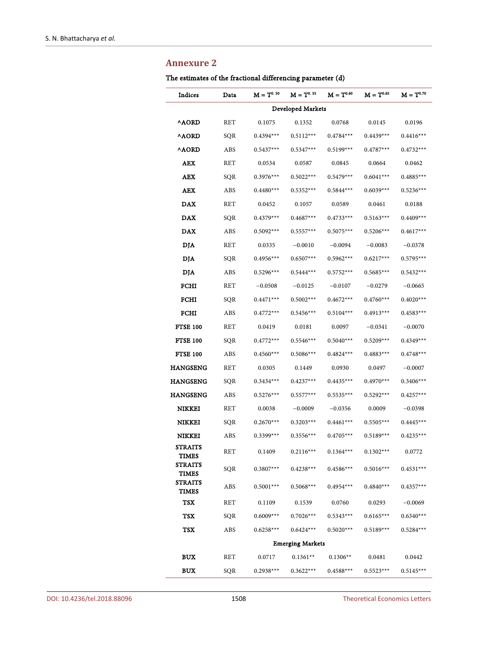# **Annexure 2**

The estimates of the fractional differencing parameter (d)

| Indices                        | Data       | $M = T^{0.50}$ | $M = T^{0.55}$          | $M = T^{0.60}$ | $M = T^{0.65}$ | $M = T^{0.70}$ |  |  |  |  |
|--------------------------------|------------|----------------|-------------------------|----------------|----------------|----------------|--|--|--|--|
| Developed Markets              |            |                |                         |                |                |                |  |  |  |  |
| ^AORD                          | RET        | 0.1075         | 0.1352                  | 0.0768         | 0.0145         | 0.0196         |  |  |  |  |
| <b>AORD</b>                    | SOR        | $0.4394***$    | $0.5112***$             | $0.4784***$    | $0.4439***$    | $0.4416***$    |  |  |  |  |
| <b>^AORD</b>                   | ABS        | $0.5437***$    | $0.5347***$             | $0.5199***$    | $0.4787***$    | $0.4732***$    |  |  |  |  |
| <b>AEX</b>                     | <b>RET</b> | 0.0534         | 0.0587                  | 0.0845         | 0.0664         | 0.0462         |  |  |  |  |
| AEX                            | SQR        | $0.3976***$    | $0.5022***$             | $0.5479***$    | $0.6041***$    | $0.4885***$    |  |  |  |  |
| AEX                            | ABS        | $0.4480***$    | $0.5352***$             | $0.5844***$    | $0.6039***$    | $0.5236***$    |  |  |  |  |
| <b>DAX</b>                     | RET        | 0.0452         | 0.1057                  | 0.0589         | 0.0461         | 0.0188         |  |  |  |  |
| <b>DAX</b>                     | SQR        | $0.4379***$    | $0.4687***$             | $0.4733***$    | $0.5163***$    | $0.4409***$    |  |  |  |  |
| <b>DAX</b>                     | ABS        | $0.5092***$    | $0.5557***$             | $0.5075***$    | $0.5206***$    | $0.4617***$    |  |  |  |  |
| <b>DJA</b>                     | RET        | 0.0335         | $-0.0010$               | $-0.0094$      | $-0.0083$      | $-0.0378$      |  |  |  |  |
| <b>DJA</b>                     | SQR        | $0.4956***$    | $0.6507***$             | $0.5962***$    | $0.6217***$    | $0.5795***$    |  |  |  |  |
| DJA.                           | ABS        | $0.5296***$    | $0.5444***$             | $0.5752***$    | $0.5685***$    | $0.5432***$    |  |  |  |  |
| FCHI                           | RET        | $-0.0508$      | $-0.0125$               | $-0.0107$      | $-0.0279$      | $-0.0665$      |  |  |  |  |
| FCHI                           | SQR        | $0.4471***$    | $0.5002***$             | $0.4672***$    | $0.4760***$    | $0.4020***$    |  |  |  |  |
| FCHI                           | ABS        | $0.4772***$    | $0.5456***$             | $0.5104***$    | $0.4913***$    | $0.4583***$    |  |  |  |  |
| <b>FTSE 100</b>                | RET        | 0.0419         | 0.0181                  | 0.0097         | $-0.0341$      | $-0.0070$      |  |  |  |  |
| <b>FTSE 100</b>                | SQR        | $0.4772***$    | $0.5546***$             | $0.5040***$    | $0.5209***$    | $0.4349***$    |  |  |  |  |
| <b>FTSE 100</b>                | ABS        | $0.4560***$    | $0.5086***$             | $0.4824***$    | $0.4883***$    | $0.4748***$    |  |  |  |  |
| <b>HANGSENG</b>                | RET        | 0.0305         | 0.1449                  | 0.0930         | 0.0497         | $-0.0007$      |  |  |  |  |
| <b>HANGSENG</b>                | SQR        | $0.3434***$    | $0.4237***$             | $0.4435***$    | $0.4970***$    | $0.3406***$    |  |  |  |  |
| <b>HANGSENG</b>                | ABS        | $0.5276***$    | $0.5577***$             | $0.5535***$    | $0.5292***$    | $0.4257***$    |  |  |  |  |
| <b>NIKKEI</b>                  | RET        | 0.0038         | $-0.0009$               | $-0.0356$      | 0.0009         | $-0.0398$      |  |  |  |  |
| <b>NIKKEI</b>                  | SQR        | $0.2670***$    | $0.3203***$             | $0.4461***$    | $0.5505***$    | $0.4445***$    |  |  |  |  |
| <b>NIKKEI</b>                  | ABS        | $0.3399***$    | $0.3556***$             | $0.4705***$    | $0.5189***$    | $0.4235***$    |  |  |  |  |
| STRAITS<br><b>TIMES</b>        | <b>RET</b> | 0.1409         | $0.2116***$             | $0.1364***$    | $0.1302***$    | 0.0772         |  |  |  |  |
| <b>STRAITS</b><br><b>TIMES</b> | SQR        | $0.3807***$    | $0.4238***$             | $0.4586***$    | $0.5016***$    | $0.4531***$    |  |  |  |  |
| <b>STRAITS</b><br><b>TIMES</b> | ABS        | $0.5001***$    | $0.5068***$             | $0.4954***$    | $0.4840***$    | $0.4357***$    |  |  |  |  |
| <b>TSX</b>                     | <b>RET</b> | 0.1109         | 0.1539                  | 0.0760         | 0.0293         | $-0.0069$      |  |  |  |  |
| <b>TSX</b>                     | SQR        | $0.6009***$    | $0.7026***$             | $0.5343***$    | $0.6165***$    | $0.6340***$    |  |  |  |  |
| <b>TSX</b>                     | ABS        | $0.6258***$    | $0.6424***$             | $0.5020***$    | $0.5189***$    | $0.5284***$    |  |  |  |  |
|                                |            |                | <b>Emerging Markets</b> |                |                |                |  |  |  |  |
| <b>BUX</b>                     | RET        | 0.0717         | $0.1361**$              | $0.1306**$     | 0.0481         | 0.0442         |  |  |  |  |
| <b>BUX</b>                     | SQR        | $0.2938***$    | $0.3622***$             | $0.4588***$    | $0.5523***$    | $0.5145***$    |  |  |  |  |